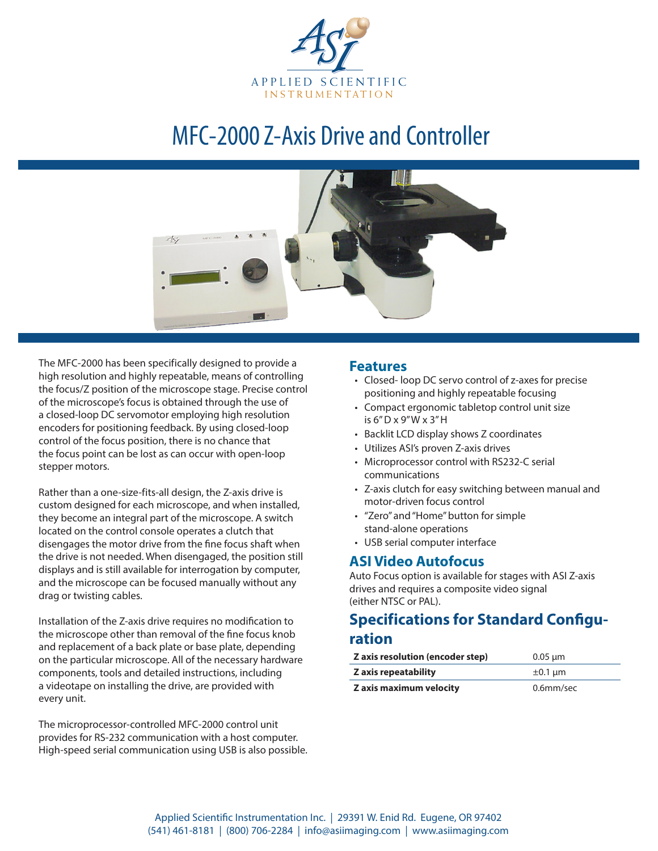

# MFC-2000 Z-Axis Drive and Controller



The MFC-2000 has been specifically designed to provide a high resolution and highly repeatable, means of controlling the focus/Z position of the microscope stage. Precise control of the microscope's focus is obtained through the use of a closed-loop DC servomotor employing high resolution encoders for positioning feedback. By using closed-loop control of the focus position, there is no chance that the focus point can be lost as can occur with open-loop stepper motors.

Rather than a one-size-fits-all design, the Z-axis drive is custom designed for each microscope, and when installed, they become an integral part of the microscope. A switch located on the control console operates a clutch that disengages the motor drive from the fine focus shaft when the drive is not needed. When disengaged, the position still displays and is still available for interrogation by computer, and the microscope can be focused manually without any drag or twisting cables.

Installation of the Z-axis drive requires no modification to the microscope other than removal of the fine focus knob and replacement of a back plate or base plate, depending on the particular microscope. All of the necessary hardware components, tools and detailed instructions, including a videotape on installing the drive, are provided with every unit.

The microprocessor-controlled MFC-2000 control unit provides for RS-232 communication with a host computer. High-speed serial communication using USB is also possible.

#### **Features**

- • Closed- loop DC servo control of z-axes for precise positioning and highly repeatable focusing
- • Compact ergonomic tabletop control unit size is 6" D x 9" W x 3" H
- Backlit LCD display shows Z coordinates
- • Utilizes ASI's proven Z-axis drives
- Microprocessor control with RS232-C serial communications
- • Z-axis clutch for easy switching between manual and motor-driven focus control
- • "Zero" and "Home" button for simple stand-alone operations
- • USB serial computer interface

### **ASI Video Autofocus**

Auto Focus option is available for stages with ASI Z-axis drives and requires a composite video signal (either NTSC or PAL).

# **Specifications for Standard Configu-**

### **ration**

| Z axis resolution (encoder step) | $0.05 \mu m$ |
|----------------------------------|--------------|
| Z axis repeatability             | $\pm 0.1$ um |
| Z axis maximum velocity          | $0.6$ mm/sec |